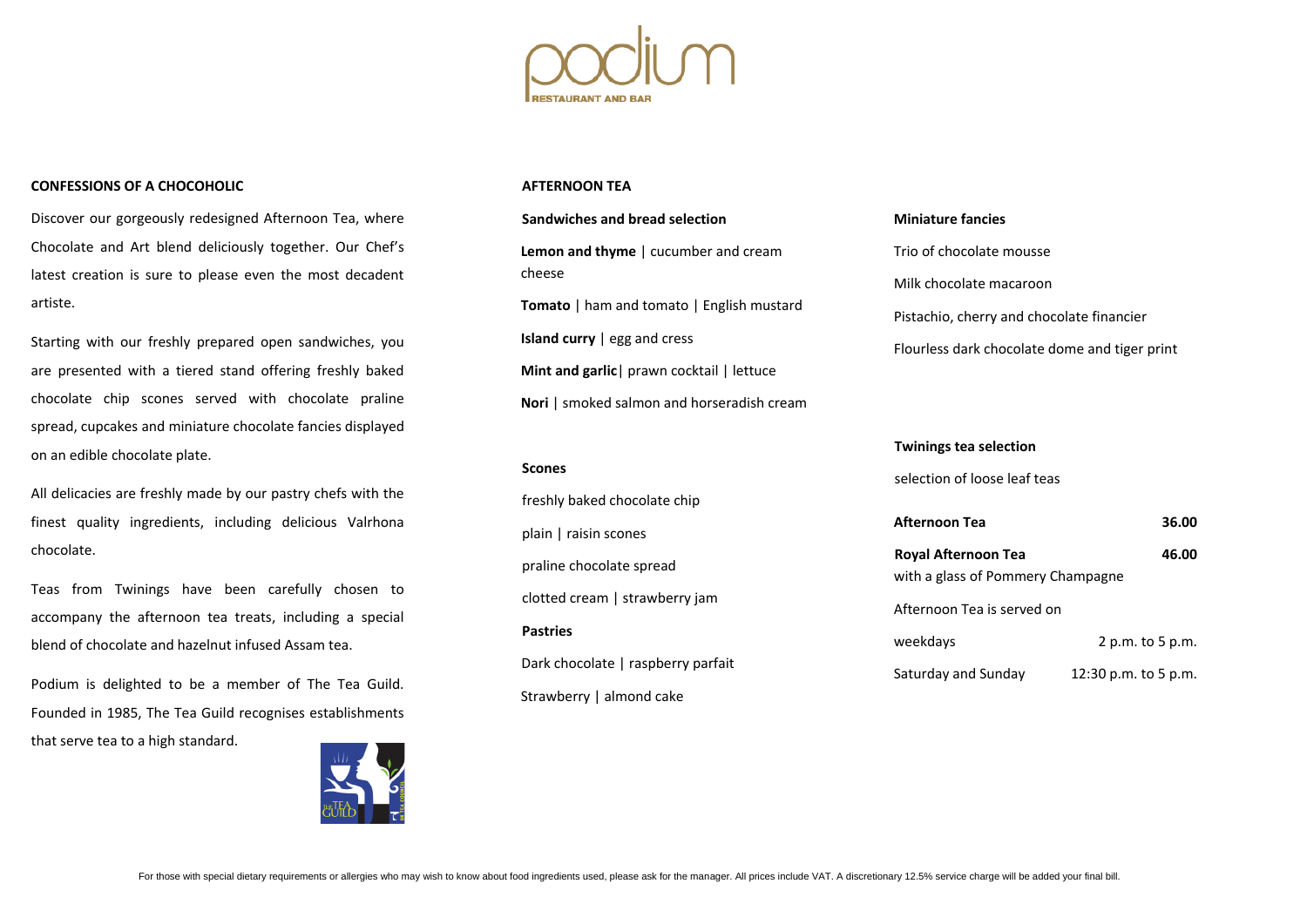

### **CONFESSIONS OF A CHOCOHOLIC**

Discover our gorgeously redesigned Afternoon Tea, where Chocolate and Art blend deliciously together. Our Chef's latest creation is sure to please even the most decadent artiste.

Starting with our freshly prepared open sandwiches, you are presented with a tiered stand offering freshly baked chocolate chip scones served with chocolate praline spread, cupcakes and miniature chocolate fancies displayed on an edible chocolate plate.

All delicacies are freshly made by our pastry chefs with the finest quality ingredients, including delicious Valrhona chocolate.

Teas from Twinings have been carefully chosen to accompany the afternoon tea treats, including a special blend of chocolate and hazelnut infused Assam tea.

**Royal Afternoon Tea 16.00** with a glass of Pommery Champagne

Podium is delighted to be a member of The Tea Guild. Founded in 1985, The Tea Guild recognises establishments that serve tea to a high standard.



### **AFTERNOON TEA**

# **Sandwiches and bread selection Lemon and thyme** | cucumber and cream cheese **Tomato** | ham and tomato | English mustard **Island curry** | egg and cress **Mint and garlic** | prawn cocktail | lettuce **Nori** | smoked salmon and horseradish cream

**Scones**

freshly baked chocolate chip

plain | raisin scones

praline chocolate spread

clotted cream | strawberry jam

**Pastries**

Dark chocolate | raspberry parfait

Strawberry | almond cake

# **Miniature fancies**

Trio of chocolate mousse

Milk chocolate macaroon

Pistachio, cherry and chocolate financier

Flourless dark chocolate dome and tiger print

weekdays 2 p.m. to 5 p.m.

# **Twinings tea selection**

selection of loose leaf teas

**Afternoon Tea 36.00**

Afternoon Tea is served on

Saturday and Sunday 12:30 p.m. to 5 p.m.